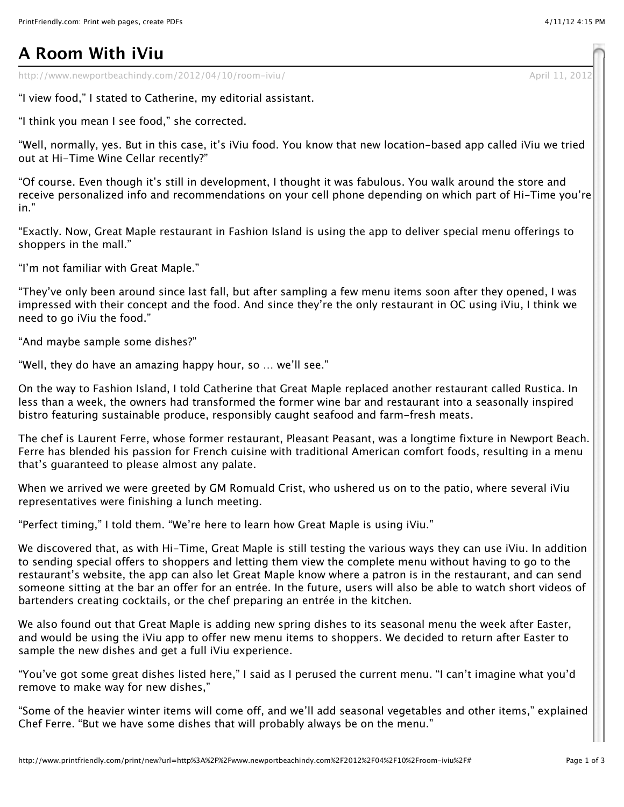## **A Room With iViu**

http://www.newportbeachindy.com/2012/04/10/room-iviu/ April 11, 201

"I view food," I stated to Catherine, my editorial assistant.

"I think you mean I see food," she corrected.

"Well, normally, yes. But in this case, it's iViu food. You know that new location-based app called iViu we tried out at Hi-Time Wine Cellar recently?"

"Of course. Even though it's still in development, I thought it was fabulous. You walk around the store and receive personalized info and recommendations on your cell phone depending on which part of Hi-Time you're in."

"Exactly. Now, Great Maple restaurant in Fashion Island is using the app to deliver special menu offerings to shoppers in the mall."

"I'm not familiar with Great Maple."

"They've only been around since last fall, but after sampling a few menu items soon after they opened, I was impressed with their concept and the food. And since they're the only restaurant in OC using iViu, I think we need to go iViu the food."

"And maybe sample some dishes?"

"Well, they do have an amazing happy hour, so … we'll see."

On the way to Fashion Island, I told Catherine that Great Maple replaced another restaurant called Rustica. In less than a week, the owners had transformed the former wine bar and restaurant into a seasonally inspired bistro featuring sustainable produce, responsibly caught seafood and farm-fresh meats.

The chef is Laurent Ferre, whose former restaurant, Pleasant Peasant, was a longtime fixture in Newport Beach. Ferre has blended his passion for French cuisine with traditional American comfort foods, resulting in a menu that's guaranteed to please almost any palate.

When we arrived we were greeted by GM Romuald Crist, who ushered us on to the patio, where several iViu representatives were finishing a lunch meeting.

"Perfect timing," I told them. "We're here to learn how Great Maple is using iViu."

We discovered that, as with Hi-Time, Great Maple is still testing the various ways they can use iViu. In addition to sending special offers to shoppers and letting them view the complete menu without having to go to the restaurant's website, the app can also let Great Maple know where a patron is in the restaurant, and can send someone sitting at the bar an offer for an entrée. In the future, users will also be able to watch short videos of bartenders creating cocktails, or the chef preparing an entrée in the kitchen.

We also found out that Great Maple is adding new spring dishes to its seasonal menu the week after Easter, and would be using the iViu app to offer new menu items to shoppers. We decided to return after Easter to sample the new dishes and get a full iViu experience.

"You've got some great dishes listed here," I said as I perused the current menu. "I can't imagine what you'd remove to make way for new dishes,"

"Some of the heavier winter items will come off, and we'll add seasonal vegetables and other items," explained Chef Ferre. "But we have some dishes that will probably always be on the menu."